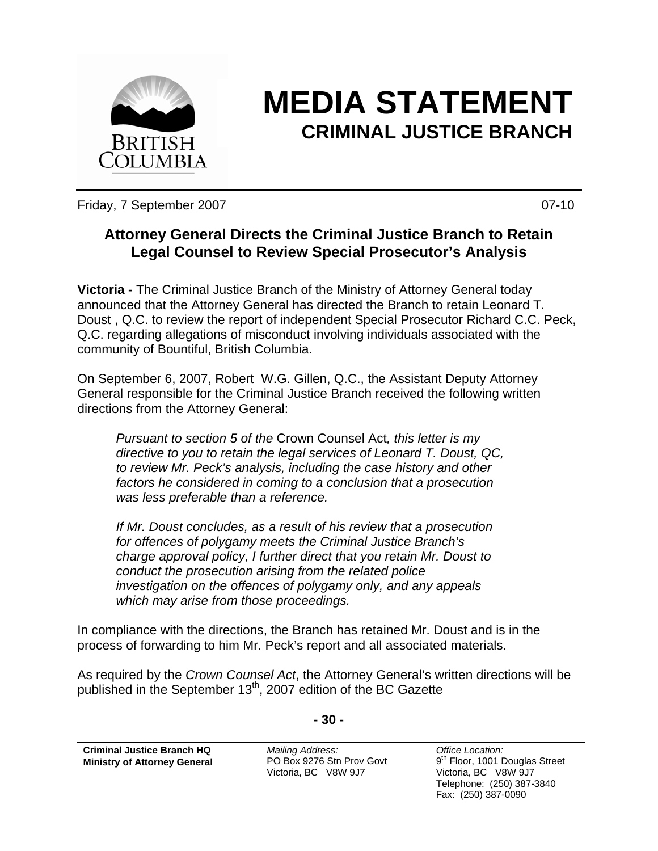

## **MEDIA STATEMENT CRIMINAL JUSTICE BRANCH**

Friday, 7 September 2007 **DESIMBER 2007 CONVERTED ASSESSED ASSESSED AT A 2007-10** 

## **Attorney General Directs the Criminal Justice Branch to Retain Legal Counsel to Review Special Prosecutor's Analysis**

**Victoria -** The Criminal Justice Branch of the Ministry of Attorney General today announced that the Attorney General has directed the Branch to retain Leonard T. Doust , Q.C. to review the report of independent Special Prosecutor Richard C.C. Peck, Q.C. regarding allegations of misconduct involving individuals associated with the community of Bountiful, British Columbia.

On September 6, 2007, Robert W.G. Gillen, Q.C., the Assistant Deputy Attorney General responsible for the Criminal Justice Branch received the following written directions from the Attorney General:

*Pursuant to section 5 of the* Crown Counsel Act*, this letter is my directive to you to retain the legal services of Leonard T. Doust, QC, to review Mr. Peck's analysis, including the case history and other factors he considered in coming to a conclusion that a prosecution was less preferable than a reference.* 

*If Mr. Doust concludes, as a result of his review that a prosecution for offences of polygamy meets the Criminal Justice Branch's charge approval policy, I further direct that you retain Mr. Doust to conduct the prosecution arising from the related police investigation on the offences of polygamy only, and any appeals which may arise from those proceedings.* 

In compliance with the directions, the Branch has retained Mr. Doust and is in the process of forwarding to him Mr. Peck's report and all associated materials.

As required by the *Crown Counsel Act*, the Attorney General's written directions will be published in the September 13<sup>th</sup>, 2007 edition of the BC Gazette

**- 30 -**

**Criminal Justice Branch HQ Ministry of Attorney General**

*Mailing Address:*  PO Box 9276 Stn Prov Govt Victoria, BC V8W 9J7

*Office Location:*  9<sup>th</sup> Floor, 1001 Douglas Street Victoria, BC V8W 9J7 Telephone: (250) 387-3840 Fax: (250) 387-0090